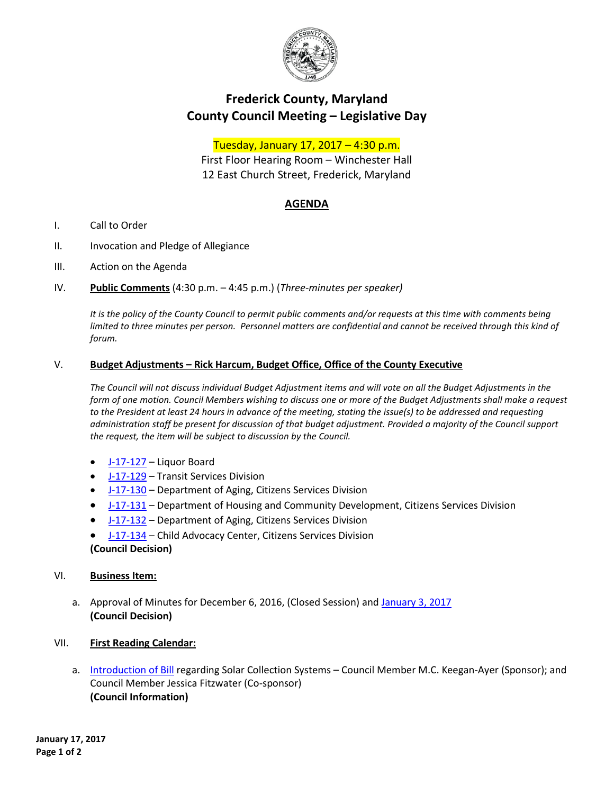

# **Frederick County, Maryland County Council Meeting – Legislative Day**

## Tuesday, January 17, 2017 – 4:30 p.m.

First Floor Hearing Room – Winchester Hall 12 East Church Street, Frederick, Maryland

## **AGENDA**

- I. Call to Order
- II. Invocation and Pledge of Allegiance
- III. Action on the Agenda
- IV. **Public Comments** (4:30 p.m. 4:45 p.m.) (*Three-minutes per speaker)*

*It is the policy of the County Council to permit public comments and/or requests at this time with comments being*  limited to three minutes per person. Personnel matters are confidential and cannot be received through this kind of *forum.*

### V. **Budget Adjustments – Rick Harcum, Budget Office, Office of the County Executive**

*The Council will not discuss individual Budget Adjustment items and will vote on all the Budget Adjustments in the form of one motion. Council Members wishing to discuss one or more of the Budget Adjustments shall make a request to the President at least 24 hours in advance of the meeting, stating the issue(s) to be addressed and requesting administration staff be present for discussion of that budget adjustment. Provided a majority of the Council support the request, the item will be subject to discussion by the Council.*

- [J-17-127](https://www.frederickcountymd.gov/DocumentCenter/View/294800) Liquor Board
- [J-17-129](https://www.frederickcountymd.gov/DocumentCenter/View/294801) Transit Services Division
- [J-17-130](https://www.frederickcountymd.gov/DocumentCenter/View/294802) Department of Aging, Citizens Services Division
- [J-17-131](https://www.frederickcountymd.gov/DocumentCenter/View/294803) Department of Housing and Community Development, Citizens Services Division
- [J-17-132](https://www.frederickcountymd.gov/DocumentCenter/View/294806) Department of Aging, Citizens Services Division
- [J-17-134](https://www.frederickcountymd.gov/DocumentCenter/View/294804) Child Advocacy Center, Citizens Services Division **(Council Decision)**

### VI. **Business Item:**

- a. Approval of Minutes for December 6, 2016, (Closed Session) an[d January 3, 2017](https://www.frederickcountymd.gov/DocumentCenter/View/294807)  **(Council Decision)**
- VII. **First Reading Calendar:**
	- a. [Introduction of](https://www.frederickcountymd.gov/DocumentCenter/View/294808) Bill regarding Solar Collection Systems Council Member M.C. Keegan-Ayer (Sponsor); and Council Member Jessica Fitzwater (Co-sponsor) **(Council Information)**